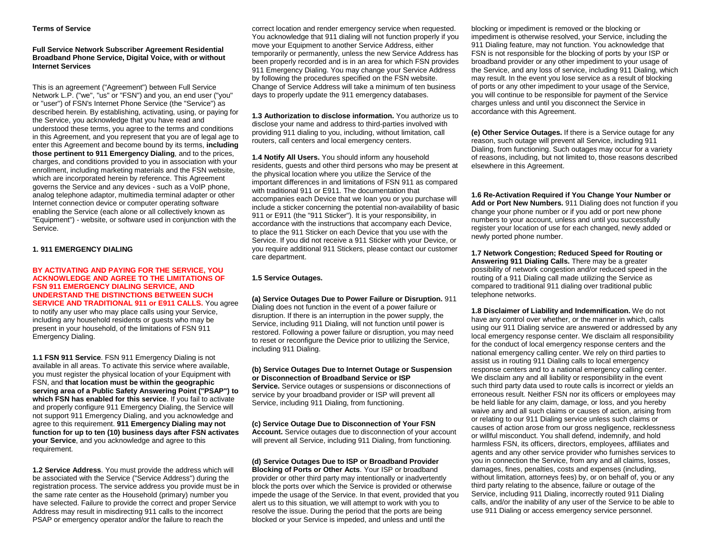## **Terms of Service**

# **Full Service Network Subscriber Agreement Residential Broadband Phone Service, Digital Voice, with or without Internet Services**

This is an agreement ("Agreement") between Full Service Network L.P. ("we", "us" or "FSN") and you, an end user ("you" or "user") of FSN's Internet Phone Service (the "Service") as described herein. By establishing, activating, using, or paying for the Service, you acknowledge that you have read and understood these terms, you agree to the terms and conditions in this Agreement, and you represent that you are of legal age to enter this Agreement and become bound by its terms, **including those pertinent to 911 Emergency Dialing**, and to the prices, charges, and conditions provided to you in association with your enrollment, including marketing materials and the FSN website, which are incorporated herein by reference. This Agreement governs the Service and any devices - such as a VoIP phone, analog telephone adaptor, multimedia terminal adapter or other Internet connection device or computer operating software enabling the Service (each alone or all collectively known as "Equipment") - website, or software used in conjunction with the Service.

# **1. 911 EMERGENCY DIALING**

#### **BY ACTIVATING AND PAYING FOR THE SERVICE, YOU ACKNOWLEDGE AND AGREE TO THE LIMITATIONS OF FSN 911 EMERGENCY DIALING SERVICE, AND UNDERSTAND THE DISTINCTIONS BETWEEN SUCH SERVICE AND TRADITIONAL 911 or E911 CALLS.** You agree to notify any user who may place calls using your Service, including any household residents or guests who may be present in your household, of the limitations of FSN 911 Emergency Dialing.

**1.1 FSN 911 Service**. FSN 911 Emergency Dialing is not available in all areas. To activate this service where available, you must register the physical location of your Equipment with FSN, and **that location must be within the geographic serving area of a Public Safety Answering Point ("PSAP") to which FSN has enabled for this service**. If you fail to activate and properly configure 911 Emergency Dialing, the Service will not support 911 Emergency Dialing, and you acknowledge and agree to this requirement. **911 Emergency Dialing may not function for up to ten (10) business days after FSN activates your Service**, and you acknowledge and agree to this requirement.

**1.2 Service Address**. You must provide the address which will be associated with the Service ("Service Address") during the registration process. The service address you provide must be in the same rate center as the Household (primary) number you have selected. Failure to provide the correct and proper Service Address may result in misdirecting 911 calls to the incorrect PSAP or emergency operator and/or the failure to reach the

correct location and render emergency service when requested. You acknowledge that 911 dialing will not function properly if you move your Equipment to another Service Address, either temporarily or permanently, unless the new Service Address has been properly recorded and is in an area for which FSN provides 911 Emergency Dialing. You may change your Service Address by following the procedures specified on the FSN website. Change of Service Address will take a minimum of ten business days to properly update the 911 emergency databases.

**1.3 Authorization to disclose information.** You authorize us to disclose your name and address to third-parties involved with providing 911 dialing to you, including, without limitation, call routers, call centers and local emergency centers.

**1.4 Notify All Users.** You should inform any household residents, guests and other third persons who may be present at the physical location where you utilize the Service of the important differences in and limitations of FSN 911 as compared with traditional 911 or E911. The documentation that accompanies each Device that we loan you or you purchase will include a sticker concerning the potential non-availability of basic 911 or E911 (the "911 Sticker"). It is your responsibility, in accordance with the instructions that accompany each Device, to place the 911 Sticker on each Device that you use with the Service. If you did not receive a 911 Sticker with your Device, or you require additional 911 Stickers, please contact our customer care department.

# **1.5 Service Outages.**

**(a) Service Outages Due to Power Failure or Disruption.** 911 Dialing does not function in the event of a power failure or disruption. If there is an interruption in the power supply, the Service, including 911 Dialing, will not function until power is restored. Following a power failure or disruption, you may need to reset or reconfigure the Device prior to utilizing the Service, including 911 Dialing.

**(b) Service Outages Due to Internet Outage or Suspension or Disconnection of Broadband Service or ISP Service.** Service outages or suspensions or disconnections of service by your broadband provider or ISP will prevent all Service, including 911 Dialing, from functioning.

**(c) Service Outage Due to Disconnection of Your FSN Account.** Service outages due to disconnection of your account will prevent all Service, including 911 Dialing, from functioning.

**(d) Service Outages Due to ISP or Broadband Provider Blocking of Ports or Other Acts**. Your ISP or broadband provider or other third party may intentionally or inadvertently block the ports over which the Service is provided or otherwise impede the usage of the Service. In that event, provided that you alert us to this situation, we will attempt to work with you to resolve the issue. During the period that the ports are being blocked or your Service is impeded, and unless and until the

blocking or impediment is removed or the blocking or impediment is otherwise resolved, your Service, including the 911 Dialing feature, may not function. You acknowledge that FSN is not responsible for the blocking of ports by your ISP or broadband provider or any other impediment to your usage of the Service, and any loss of service, including 911 Dialing, which may result. In the event you lose service as a result of blocking of ports or any other impediment to your usage of the Service, you will continue to be responsible for payment of the Service charges unless and until you disconnect the Service in accordance with this Agreement.

**(e) Other Service Outages.** If there is a Service outage for any reason, such outage will prevent all Service, including 911 Dialing, from functioning. Such outages may occur for a variety of reasons, including, but not limited to, those reasons described elsewhere in this Agreement.

**1.6 Re-Activation Required if You Change Your Number or Add or Port New Numbers.** 911 Dialing does not function if you change your phone number or if you add or port new phone numbers to your account, unless and until you successfully register your location of use for each changed, newly added or newly ported phone number.

**1.7 Network Congestion; Reduced Speed for Routing or Answering 911 Dialing Calls.** There may be a greater possibility of network congestion and/or reduced speed in the routing of a 911 Dialing call made utilizing the Service as compared to traditional 911 dialing over traditional public telephone networks.

**1.8 Disclaimer of Liability and Indemnification.** We do not have any control over whether, or the manner in which, calls using our 911 Dialing service are answered or addressed by any local emergency response center. We disclaim all responsibility for the conduct of local emergency response centers and the national emergency calling center. We rely on third parties to assist us in routing 911 Dialing calls to local emergency response centers and to a national emergency calling center. We disclaim any and all liability or responsibility in the event such third party data used to route calls is incorrect or yields an erroneous result. Neither FSN nor its officers or employees may be held liable for any claim, damage, or loss, and you hereby waive any and all such claims or causes of action, arising from or relating to our 911 Dialing service unless such claims or causes of action arose from our gross negligence, recklessness or willful misconduct. You shall defend, indemnify, and hold harmless FSN, its officers, directors, employees, affiliates and agents and any other service provider who furnishes services to you in connection the Service, from any and all claims, losses, damages, fines, penalties, costs and expenses (including, without limitation, attorneys fees) by, or on behalf of, you or any third party relating to the absence, failure or outage of the Service, including 911 Dialing, incorrectly routed 911 Dialing calls, and/or the inability of any user of the Service to be able to use 911 Dialing or access emergency service personnel.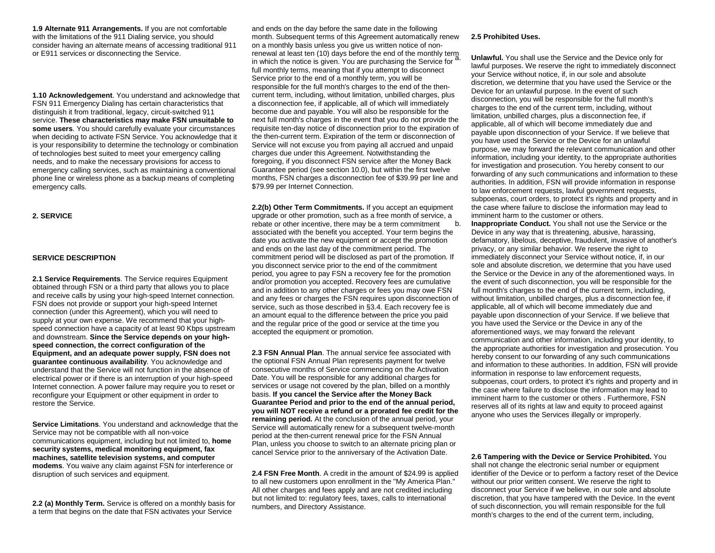**1.9 Alternate 911 Arrangements.** If you are not comfortable with the limitations of the 911 Dialing service, you should consider having an alternate means of accessing traditional 911 or E911 services or disconnecting the Service.

**1.10 Acknowledgement**. You understand and acknowledge that FSN 911 Emergency Dialing has certain characteristics that distinguish it from traditional, legacy, circuit-switched 911 service. **These characteristics may make FSN unsuitable to some users**. You should carefully evaluate your circumstances when deciding to activate FSN Service. You acknowledge that it is your responsibility to determine the technology or combination of technologies best suited to meet your emergency calling needs, and to make the necessary provisions for access to emergency calling services, such as maintaining a conventional phone line or wireless phone as a backup means of completing emergency calls.

#### **2. SERVICE**

## **SERVICE DESCRIPTION**

**2.1 Service Requirements**. The Service requires Equipment obtained through FSN or a third party that allows you to place and receive calls by using your high-speed Internet connection. FSN does not provide or support your high-speed Internet connection (under this Agreement), which you will need to supply at your own expense. We recommend that your highspeed connection have a capacity of at least 90 Kbps upstream and downstream. **Since the Service depends on your highspeed connection, the correct configuration of the Equipment, and an adequate power supply, FSN does not guarantee continuous availability**. You acknowledge and understand that the Service will not function in the absence of electrical power or if there is an interruption of your high-speed Internet connection. A power failure may require you to reset or reconfigure your Equipment or other equipment in order to restore the Service.

**Service Limitations**. You understand and acknowledge that the Service may not be compatible with all non-voice communications equipment, including but not limited to, **home security systems, medical monitoring equipment, fax machines, satellite television systems, and computer modems**. You waive any claim against FSN for interference or disruption of such services and equipment.

**2.2 (a) Monthly Term.** Service is offered on a monthly basis for a term that begins on the date that FSN activates your Service

and ends on the day before the same date in the following month. Subsequent terms of this Agreement automatically renew on a monthly basis unless you give us written notice of nonrenewal at least ten (10) days before the end of the monthly term in which the notice is given. You are purchasing the Service for full monthly terms, meaning that if you attempt to disconnect Service prior to the end of a monthly term, you will be responsible for the full month's charges to the end of the thencurrent term, including, without limitation, unbilled charges, plus a disconnection fee, if applicable, all of which will immediately become due and payable. You will also be responsible for the next full month's charges in the event that you do not provide the requisite ten-day notice of disconnection prior to the expiration of the then-current term. Expiration of the term or disconnection of Service will not excuse you from paying all accrued and unpaid charges due under this Agreement. Notwithstanding the foregoing, if you disconnect FSN service after the Money Back Guarantee period (see section 10.0), but within the first twelve months, FSN charges a disconnection fee of \$39.99 per line and \$79.99 per Internet Connection.

**2.2(b) Other Term Commitments.** If you accept an equipment upgrade or other promotion, such as a free month of service, a rebate or other incentive, there may be a term commitment associated with the benefit you accepted. Your term begins the date you activate the new equipment or accept the promotion and ends on the last day of the commitment period. The commitment period will be disclosed as part of the promotion. If you disconnect service prior to the end of the commitment period, you agree to pay FSN a recovery fee for the promotion and/or promotion you accepted. Recovery fees are cumulative and in addition to any other charges or fees you may owe FSN and any fees or charges the FSN requires upon disconnection of service, such as those described in §3.4. Each recovery fee is an amount equal to the difference between the price you paid and the regular price of the good or service at the time you accepted the equipment or promotion.

**2.3 FSN Annual Plan**. The annual service fee associated with the optional FSN Annual Plan represents payment for twelve consecutive months of Service commencing on the Activation Date. You will be responsible for any additional charges for services or usage not covered by the plan, billed on a monthly basis. **If you cancel the Service after the Money Back Guarantee Period and prior to the end of the annual period, you will NOT receive a refund or a prorated fee credit for the remaining period.** At the conclusion of the annual period, your Service will automatically renew for a subsequent twelve-month period at the then-current renewal price for the FSN Annual Plan, unless you choose to switch to an alternate pricing plan or cancel Service prior to the anniversary of the Activation Date.

**2.4 FSN Free Month**. A credit in the amount of \$24.99 is applied to all new customers upon enrollment in the "My America Plan." All other charges and fees apply and are not credited including but not limited to: regulatory fees, taxes, calls to international numbers, and Directory Assistance.

#### **2.5 Prohibited Uses.**

**Unlawful.** You shall use the Service and the Device only for lawful purposes. We reserve the right to immediately disconnect your Service without notice, if, in our sole and absolute discretion, we determine that you have used the Service or the Device for an unlawful purpose. In the event of such disconnection, you will be responsible for the full month's charges to the end of the current term, including, without limitation, unbilled charges, plus a disconnection fee, if applicable, all of which will become immediately due and payable upon disconnection of your Service. If we believe that you have used the Service or the Device for an unlawful purpose, we may forward the relevant communication and other information, including your identity, to the appropriate authorities for investigation and prosecution. You hereby consent to our forwarding of any such communications and information to these authorities. In addition, FSN will provide information in response to law enforcement requests, lawful government requests, subpoenas, court orders, to protect it's rights and property and in the case where failure to disclose the information may lead to imminent harm to the customer or others.

b. **Inappropriate Conduct.** You shall not use the Service or the Device in any way that is threatening, abusive, harassing, defamatory, libelous, deceptive, fraudulent, invasive of another's privacy, or any similar behavior. We reserve the right to immediately disconnect your Service without notice, if, in our sole and absolute discretion, we determine that you have used the Service or the Device in any of the aforementioned ways. In the event of such disconnection, you will be responsible for the full month's charges to the end of the current term, including, without limitation, unbilled charges, plus a disconnection fee, if applicable, all of which will become immediately due and payable upon disconnection of your Service. If we believe that you have used the Service or the Device in any of the aforementioned ways, we may forward the relevant communication and other information, including your identity, to the appropriate authorities for investigation and prosecution. You hereby consent to our forwarding of any such communications and information to these authorities. In addition, FSN will provide information in response to law enforcement requests, subpoenas, court orders, to protect it's rights and property and in the case where failure to disclose the information may lead to imminent harm to the customer or others . Furthermore, FSN reserves all of its rights at law and equity to proceed against anyone who uses the Services illegally or improperly.

**2.6 Tampering with the Device or Service Prohibited.** You shall not change the electronic serial number or equipment identifier of the Device or to perform a factory reset of the Device without our prior written consent. We reserve the right to disconnect your Service if we believe, in our sole and absolute discretion, that you have tampered with the Device. In the event of such disconnection, you will remain responsible for the full month's charges to the end of the current term, including,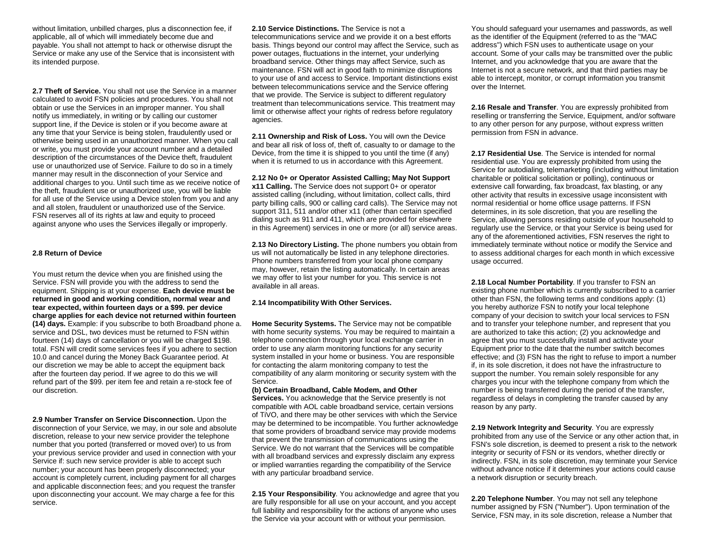without limitation, unbilled charges, plus a disconnection fee, if applicable, all of which will immediately become due and payable. You shall not attempt to hack or otherwise disrupt the Service or make any use of the Service that is inconsistent with its intended purpose.

**2.7 Theft of Service.** You shall not use the Service in a manner calculated to avoid FSN policies and procedures. You shall not obtain or use the Services in an improper manner. You shall notify us immediately, in writing or by calling our customer support line, if the Device is stolen or if you become aware at any time that your Service is being stolen, fraudulently used or otherwise being used in an unauthorized manner. When you call or write, you must provide your account number and a detailed description of the circumstances of the Device theft, fraudulent use or unauthorized use of Service. Failure to do so in a timely manner may result in the disconnection of your Service and additional charges to you. Until such time as we receive notice of the theft, fraudulent use or unauthorized use, you will be liable for all use of the Service using a Device stolen from you and any and all stolen, fraudulent or unauthorized use of the Service. FSN reserves all of its rights at law and equity to proceed against anyone who uses the Services illegally or improperly.

## **2.8 Return of Device**

You must return the device when you are finished using the Service. FSN will provide you with the address to send the equipment. Shipping is at your expense. **Each device must be returned in good and working condition, normal wear and tear expected, within fourteen days or a \$99. per device charge applies for each device not returned within fourteen (14) days.** Example: if you subscribe to both Broadband phone service and DSL, two devices must be returned to FSN within fourteen (14) days of cancellation or you will be charged \$198. total. FSN will credit some services fees if you adhere to section 10.0 and cancel during the Money Back Guarantee period. At our discretion we may be able to accept the equipment back after the fourteen day period. If we agree to do this we will refund part of the \$99. per item fee and retain a re-stock fee of our discretion.

**2.9 Number Transfer on Service Disconnection.** Upon the disconnection of your Service, we may, in our sole and absolute discretion, release to your new service provider the telephone number that you ported (transferred or moved over) to us from your previous service provider and used in connection with your Service if: such new service provider is able to accept such number; your account has been properly disconnected; your account is completely current, including payment for all charges and applicable disconnection fees; and you request the transfer upon disconnecting your account. We may charge a fee for this service.

**2.10 Service Distinctions.** The Service is not a telecommunications service and we provide it on a best efforts basis. Things beyond our control may affect the Service, such as power outages, fluctuations in the internet, your underlying broadband service. Other things may affect Service, such as maintenance. FSN will act in good faith to minimize disruptions to your use of and access to Service. Important distinctions exist between telecommunications service and the Service offering that we provide. The Service is subject to different regulatory treatment than telecommunications service. This treatment may limit or otherwise affect your rights of redress before regulatory agencies.

**2.11 Ownership and Risk of Loss.** You will own the Device and bear all risk of loss of, theft of, casualty to or damage to the Device, from the time it is shipped to you until the time (if any) when it is returned to us in accordance with this Agreement.

**2.12 No 0+ or Operator Assisted Calling; May Not Support x11 Calling.** The Service does not support 0+ or operator assisted calling (including, without limitation, collect calls, third party billing calls, 900 or calling card calls). The Service may not support 311, 511 and/or other x11 (other than certain specified dialing such as 911 and 411, which are provided for elsewhere in this Agreement) services in one or more (or all) service areas.

**2.13 No Directory Listing.** The phone numbers you obtain from us will not automatically be listed in any telephone directories. Phone numbers transferred from your local phone company may, however, retain the listing automatically. In certain areas we may offer to list your number for you. This service is not available in all areas.

# **2.14 Incompatibility With Other Services.**

**Home Security Systems.** The Service may not be compatible with home security systems. You may be required to maintain a telephone connection through your local exchange carrier in order to use any alarm monitoring functions for any security system installed in your home or business. You are responsible for contacting the alarm monitoring company to test the compatibility of any alarm monitoring or security system with the Service.

#### **(b) Certain Broadband, Cable Modem, and Other**

**Services.** You acknowledge that the Service presently is not compatible with AOL cable broadband service, certain versions of TiVO, and there may be other services with which the Service may be determined to be incompatible. You further acknowledge that some providers of broadband service may provide modems that prevent the transmission of communications using the Service. We do not warrant that the Services will be compatible with all broadband services and expressly disclaim any express or implied warranties regarding the compatibility of the Service with any particular broadband service.

**2.15 Your Responsibility**. You acknowledge and agree that you are fully responsible for all use on your account, and you accept full liability and responsibility for the actions of anyone who uses the Service via your account with or without your permission.

You should safeguard your usernames and passwords, as well as the identifier of the Equipment (referred to as the "MAC address") which FSN uses to authenticate usage on your account. Some of your calls may be transmitted over the public Internet, and you acknowledge that you are aware that the Internet is not a secure network, and that third parties may be able to intercept, monitor, or corrupt information you transmit over the Internet.

**2.16 Resale and Transfer**. You are expressly prohibited from reselling or transferring the Service, Equipment, and/or software to any other person for any purpose, without express written permission from FSN in advance.

**2.17 Residential Use**. The Service is intended for normal residential use. You are expressly prohibited from using the Service for autodialing, telemarketing (including without limitation charitable or political solicitation or polling), continuous or extensive call forwarding, fax broadcast, fax blasting, or any other activity that results in excessive usage inconsistent with normal residential or home office usage patterns. If FSN determines, in its sole discretion, that you are reselling the Service, allowing persons residing outside of your household to regularly use the Service, or that your Service is being used for any of the aforementioned activities, FSN reserves the right to immediately terminate without notice or modify the Service and to assess additional charges for each month in which excessive usage occurred.

**2.18 Local Number Portability**. If you transfer to FSN an existing phone number which is currently subscribed to a carrier other than FSN, the following terms and conditions apply: (1) you hereby authorize FSN to notify your local telephone company of your decision to switch your local services to FSN and to transfer your telephone number, and represent that you are authorized to take this action; (2) you acknowledge and agree that you must successfully install and activate your Equipment prior to the date that the number switch becomes effective; and (3) FSN has the right to refuse to import a number if, in its sole discretion, it does not have the infrastructure to support the number. You remain solely responsible for any charges you incur with the telephone company from which the number is being transferred during the period of the transfer, regardless of delays in completing the transfer caused by any reason by any party.

**2.19 Network Integrity and Security**. You are expressly prohibited from any use of the Service or any other action that, in FSN's sole discretion, is deemed to present a risk to the network integrity or security of FSN or its vendors, whether directly or indirectly. FSN, in its sole discretion, may terminate your Service without advance notice if it determines your actions could cause a network disruption or security breach.

**2.20 Telephone Number**. You may not sell any telephone number assigned by FSN ("Number"). Upon termination of the Service, FSN may, in its sole discretion, release a Number that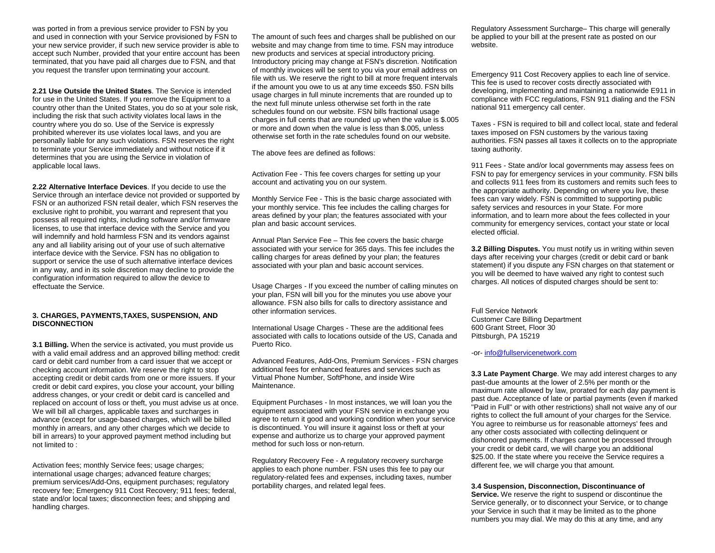was ported in from a previous service provider to FSN by you and used in connection with your Service provisioned by FSN to your new service provider, if such new service provider is able to accept such Number, provided that your entire account has been terminated, that you have paid all charges due to FSN, and that you request the transfer upon terminating your account.

**2.21 Use Outside the United States**. The Service is intended for use in the United States. If you remove the Equipment to a country other than the United States, you do so at your sole risk, including the risk that such activity violates local laws in the country where you do so. Use of the Service is expressly prohibited wherever its use violates local laws, and you are personally liable for any such violations. FSN reserves the right to terminate your Service immediately and without notice if it determines that you are using the Service in violation of applicable local laws.

**2.22 Alternative Interface Devices**. If you decide to use the Service through an interface device not provided or supported by FSN or an authorized FSN retail dealer, which FSN reserves the exclusive right to prohibit, you warrant and represent that you possess all required rights, including software and/or firmware licenses, to use that interface device with the Service and you will indemnify and hold harmless FSN and its vendors against any and all liability arising out of your use of such alternative interface device with the Service. FSN has no obligation to support or service the use of such alternative interface devices in any way, and in its sole discretion may decline to provide the configuration information required to allow the device to effectuate the Service.

## **3. CHARGES, PAYMENTS,TAXES, SUSPENSION, AND DISCONNECTION**

**3.1 Billing.** When the service is activated, you must provide us with a valid email address and an approved billing method: credit card or debit card number from a card issuer that we accept or checking account information. We reserve the right to stop accepting credit or debit cards from one or more issuers. If your credit or debit card expires, you close your account, your billing address changes, or your credit or debit card is cancelled and replaced on account of loss or theft, you must advise us at once. We will bill all charges, applicable taxes and surcharges in advance (except for usage-based charges, which will be billed monthly in arrears, and any other charges which we decide to bill in arrears) to your approved payment method including but not limited to :

Activation fees; monthly Service fees; usage charges; international usage charges; advanced feature charges; premium services/Add-Ons, equipment purchases; regulatory recovery fee; Emergency 911 Cost Recovery; 911 fees; federal, state and/or local taxes; disconnection fees; and shipping and handling charges.

The amount of such fees and charges shall be published on our website and may change from time to time. FSN may introduce new products and services at special introductory pricing. Introductory pricing may change at FSN's discretion. Notification of monthly invoices will be sent to you via your email address on file with us. We reserve the right to bill at more frequent intervals if the amount you owe to us at any time exceeds \$50. FSN bills usage charges in full minute increments that are rounded up to the next full minute unless otherwise set forth in the rate schedules found on our website. FSN bills fractional usage charges in full cents that are rounded up when the value is \$.005 or more and down when the value is less than \$.005, unless otherwise set forth in the rate schedules found on our website.

The above fees are defined as follows:

Activation Fee - This fee covers charges for setting up your account and activating you on our system.

Monthly Service Fee - This is the basic charge associated with your monthly service. This fee includes the calling charges for areas defined by your plan; the features associated with your plan and basic account services.

Annual Plan Service Fee – This fee covers the basic charge associated with your service for 365 days. This fee includes the calling charges for areas defined by your plan; the features associated with your plan and basic account services.

Usage Charges - If you exceed the number of calling minutes on your plan, FSN will bill you for the minutes you use above your allowance. FSN also bills for calls to directory assistance and other information services.

International Usage Charges - These are the additional fees associated with calls to locations outside of the US, Canada and Puerto Rico.

Advanced Features, Add-Ons, Premium Services - FSN charges additional fees for enhanced features and services such as Virtual Phone Number, SoftPhone, and inside Wire Maintenance.

Equipment Purchases - In most instances, we will loan you the equipment associated with your FSN service in exchange you agree to return it good and working condition when your service is discontinued. You will insure it against loss or theft at your expense and authorize us to charge your approved payment method for such loss or non-return.

Regulatory Recovery Fee - A regulatory recovery surcharge applies to each phone number. FSN uses this fee to pay our regulatory-related fees and expenses, including taxes, number portability charges, and related legal fees.

Regulatory Assessment Surcharge– This charge will generally be applied to your bill at the present rate as posted on our website.

Emergency 911 Cost Recovery applies to each line of service. This fee is used to recover costs directly associated with developing, implementing and maintaining a nationwide E911 in compliance with FCC regulations, FSN 911 dialing and the FSN national 911 emergency call center.

Taxes - FSN is required to bill and collect local, state and federal taxes imposed on FSN customers by the various taxing authorities. FSN passes all taxes it collects on to the appropriate taxing authority.

911 Fees - State and/or local governments may assess fees on FSN to pay for emergency services in your community. FSN bills and collects 911 fees from its customers and remits such fees to the appropriate authority. Depending on where you live, these fees can vary widely. FSN is committed to supporting public safety services and resources in your State. For more information, and to learn more about the fees collected in your community for emergency services, contact your state or local elected official.

**3.2 Billing Disputes.** You must notify us in writing within seven days after receiving your charges (credit or debit card or bank statement) if you dispute any FSN charges on that statement or you will be deemed to have waived any right to contest such charges. All notices of disputed charges should be sent to:

Full Service Network Customer Care Billing Department 600 Grant Street, Floor 30 Pittsburgh, PA 15219

-or- [info@fullservicenetwork.com](mailto:info@fullservicenetwork.com)

**3.3 Late Payment Charge.** We may add interest charges to any past-due amounts at the lower of 2.5% per month or the maximum rate allowed by law, prorated for each day payment is past due. Acceptance of late or partial payments (even if marked "Paid in Full" or with other restrictions) shall not waive any of our rights to collect the full amount of your charges for the Service. You agree to reimburse us for reasonable attorneys' fees and any other costs associated with collecting delinquent or dishonored payments. If charges cannot be processed through your credit or debit card, we will charge you an additional \$25.00. If the state where you receive the Service requires a different fee, we will charge you that amount.

**3.4 Suspension, Disconnection, Discontinuance of** 

**Service.** We reserve the right to suspend or discontinue the Service generally, or to disconnect your Service, or to change your Service in such that it may be limited as to the phone numbers you may dial. We may do this at any time, and any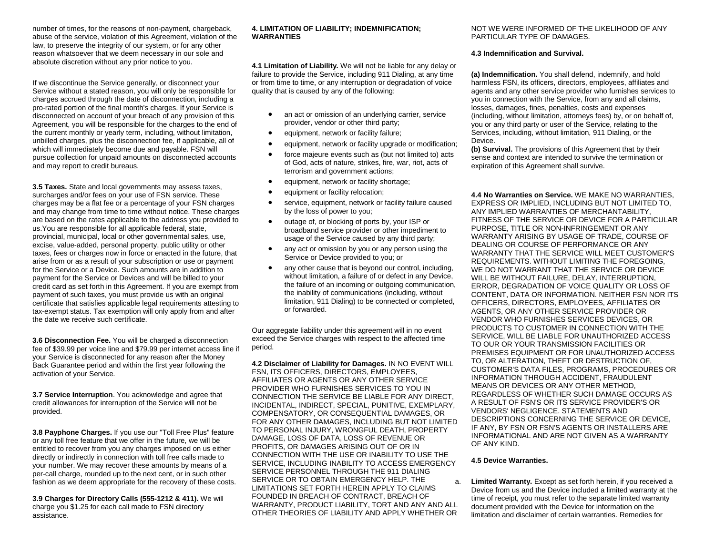number of times, for the reasons of non-payment, chargeback, abuse of the service, violation of this Agreement, violation of the law, to preserve the integrity of our system, or for any other reason whatsoever that we deem necessary in our sole and absolute discretion without any prior notice to you.

If we discontinue the Service generally, or disconnect your Service without a stated reason, you will only be responsible for charges accrued through the date of disconnection, including a pro-rated portion of the final month's charges. If your Service is disconnected on account of your breach of any provision of this Agreement, you will be responsible for the charges to the end of the current monthly or yearly term, including, without limitation, unbilled charges, plus the disconnection fee, if applicable, all of which will immediately become due and payable. FSN will pursue collection for unpaid amounts on disconnected accounts and may report to credit bureaus.

**3.5 Taxes.** State and local governments may assess taxes, surcharges and/or fees on your use of FSN service. These charges may be a flat fee or a percentage of your FSN charges and may change from time to time without notice. These charges are based on the rates applicable to the address you provided to us.You are responsible for all applicable federal, state, provincial, municipal, local or other governmental sales, use, excise, value-added, personal property, public utility or other taxes, fees or charges now in force or enacted in the future, that arise from or as a result of your subscription or use or payment for the Service or a Device. Such amounts are in addition to payment for the Service or Devices and will be billed to your credit card as set forth in this Agreement. If you are exempt from payment of such taxes, you must provide us with an original certificate that satisfies applicable legal requirements attesting to tax-exempt status. Tax exemption will only apply from and after the date we receive such certificate.

**3.6 Disconnection Fee.** You will be charged a disconnection fee of \$39.99 per voice line and \$79.99 per internet access line if your Service is disconnected for any reason after the Money Back Guarantee period and within the first year following the activation of your Service.

**3.7 Service Interruption**. You acknowledge and agree that credit allowances for interruption of the Service will not be provided.

**3.8 Payphone Charges.** If you use our "Toll Free Plus" feature or any toll free feature that we offer in the future, we will be entitled to recover from you any charges imposed on us either directly or indirectly in connection with toll free calls made to your number. We may recover these amounts by means of a per-call charge, rounded up to the next cent, or in such other fashion as we deem appropriate for the recovery of these costs.

**3.9 Charges for Directory Calls (555-1212 & 411).** We will charge you \$1.25 for each call made to FSN directory assistance.

## **4. LIMITATION OF LIABILITY; INDEMNIFICATION; WARRANTIES**

**4.1 Limitation of Liability.** We will not be liable for any delay or failure to provide the Service, including 911 Dialing, at any time or from time to time, or any interruption or degradation of voice quality that is caused by any of the following:

- an act or omission of an underlying carrier, service provider, vendor or other third party;
- equipment, network or facility failure;
- equipment, network or facility upgrade or modification;
- force majeure events such as (but not limited to) acts of God, acts of nature, strikes, fire, war, riot, acts of terrorism and government actions;
- equipment, network or facility shortage;
- equipment or facility relocation;
- service, equipment, network or facility failure caused by the loss of power to you;
- outage of, or blocking of ports by, your ISP or broadband service provider or other impediment to usage of the Service caused by any third party;
- any act or omission by you or any person using the Service or Device provided to you; or
- any other cause that is beyond our control, including, without limitation, a failure of or defect in any Device, the failure of an incoming or outgoing communication, the inability of communications (including, without limitation, 911 Dialing) to be connected or completed, or forwarded.

Our aggregate liability under this agreement will in no event exceed the Service charges with respect to the affected time period.

**4.2 Disclaimer of Liability for Damages.** IN NO EVENT WILL FSN, ITS OFFICERS, DIRECTORS, EMPLOYEES, AFFILIATES OR AGENTS OR ANY OTHER SERVICE PROVIDER WHO FURNISHES SERVICES TO YOU IN CONNECTION THE SERVICE BE LIABLE FOR ANY DIRECT, INCIDENTAL, INDIRECT, SPECIAL, PUNITIVE, EXEMPLARY, COMPENSATORY, OR CONSEQUENTIAL DAMAGES, OR FOR ANY OTHER DAMAGES, INCLUDING BUT NOT LIMITED TO PERSONAL INJURY, WRONGFUL DEATH, PROPERTY DAMAGE, LOSS OF DATA, LOSS OF REVENUE OR PROFITS, OR DAMAGES ARISING OUT OF OR IN CONNECTION WITH THE USE OR INABILITY TO USE THE SERVICE, INCLUDING INABILITY TO ACCESS EMERGENCY SERVICE PERSONNEL THROUGH THE 911 DIALING SERVICE OR TO OBTAIN EMERGENCY HELP. THE LIMITATIONS SET FORTH HEREIN APPLY TO CLAIMS FOUNDED IN BREACH OF CONTRACT, BREACH OF WARRANTY, PRODUCT LIABILITY, TORT AND ANY AND ALL OTHER THEORIES OF LIABILITY AND APPLY WHETHER OR

## NOT WE WERE INFORMED OF THE LIKELIHOOD OF ANY PARTICULAR TYPE OF DAMAGES.

# **4.3 Indemnification and Survival.**

**(a) Indemnification.** You shall defend, indemnify, and hold harmless FSN, its officers, directors, employees, affiliates and agents and any other service provider who furnishes services to you in connection with the Service, from any and all claims, losses, damages, fines, penalties, costs and expenses (including, without limitation, attorneys fees) by, or on behalf of, you or any third party or user of the Service, relating to the Services, including, without limitation, 911 Dialing, or the Device.

**(b) Survival.** The provisions of this Agreement that by their sense and context are intended to survive the termination or expiration of this Agreement shall survive.

**4.4 No Warranties on Service.** WE MAKE NO WARRANTIES, EXPRESS OR IMPLIED, INCLUDING BUT NOT LIMITED TO, ANY IMPLIED WARRANTIES OF MERCHANTABILITY, FITNESS OF THE SERVICE OR DEVICE FOR A PARTICULAR PURPOSE, TITLE OR NON-INFRINGEMENT OR ANY WARRANTY ARISING BY USAGE OF TRADE, COURSE OF DEALING OR COURSE OF PERFORMANCE OR ANY WARRANTY THAT THE SERVICE WILL MEET CUSTOMER'S REQUIREMENTS. WITHOUT LIMITING THE FOREGOING, WE DO NOT WARRANT THAT THE SERVICE OR DEVICE WILL BE WITHOUT FAILURE, DELAY, INTERRUPTION, ERROR, DEGRADATION OF VOICE QUALITY OR LOSS OF CONTENT, DATA OR INFORMATION. NEITHER FSN NOR ITS OFFICERS, DIRECTORS, EMPLOYEES, AFFILIATES OR AGENTS, OR ANY OTHER SERVICE PROVIDER OR VENDOR WHO FURNISHES SERVICES DEVICES, OR PRODUCTS TO CUSTOMER IN CONNECTION WITH THE SERVICE, WILL BE LIABLE FOR UNAUTHORIZED ACCESS TO OUR OR YOUR TRANSMISSION FACILITIES OR PREMISES EQUIPMENT OR FOR UNAUTHORIZED ACCESS TO, OR ALTERATION, THEFT OR DESTRUCTION OF, CUSTOMER'S DATA FILES, PROGRAMS, PROCEDURES OR INFORMATION THROUGH ACCIDENT, FRAUDULENT MEANS OR DEVICES OR ANY OTHER METHOD, REGARDLESS OF WHETHER SUCH DAMAGE OCCURS AS A RESULT OF FSN'S OR ITS SERVICE PROVIDER'S OR VENDORS' NEGLIGENCE. STATEMENTS AND DESCRIPTIONS CONCERNING THE SERVICE OR DEVICE, IF ANY, BY FSN OR FSN'S AGENTS OR INSTALLERS ARE INFORMATIONAL AND ARE NOT GIVEN AS A WARRANTY OF ANY KIND.

# **4.5 Device Warranties.**

a. **Limited Warranty.** Except as set forth herein, if you received a Device from us and the Device included a limited warranty at the time of receipt, you must refer to the separate limited warranty document provided with the Device for information on the limitation and disclaimer of certain warranties. Remedies for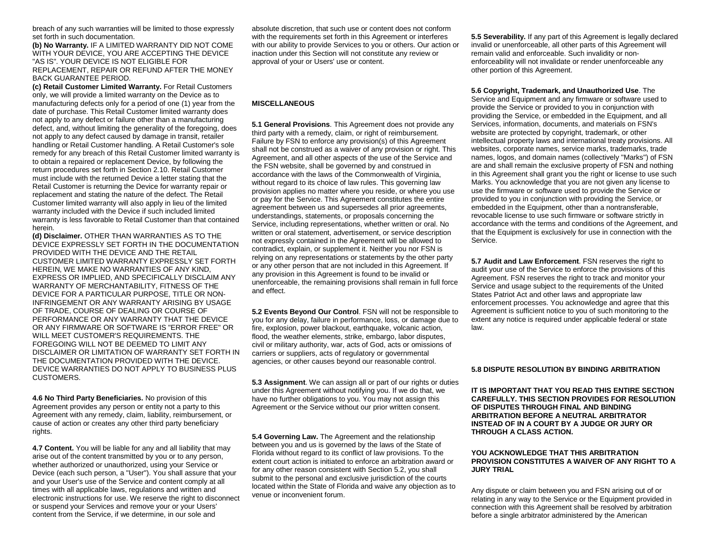breach of any such warranties will be limited to those expressly set forth in such documentation.

**(b) No Warranty.** IF A LIMITED WARRANTY DID NOT COME WITH YOUR DEVICE, YOU ARE ACCEPTING THE DEVICE "AS IS". YOUR DEVICE IS NOT ELIGIBLE FOR REPLACEMENT, REPAIR OR REFUND AFTER THE MONEY BACK GUARANTEE PERIOD.

**(c) Retail Customer Limited Warranty.** For Retail Customers only, we will provide a limited warranty on the Device as to manufacturing defects only for a period of one (1) year from the date of purchase. This Retail Customer limited warranty does not apply to any defect or failure other than a manufacturing defect, and, without limiting the generality of the foregoing, does not apply to any defect caused by damage in transit, retailer handling or Retail Customer handling. A Retail Customer's sole remedy for any breach of this Retail Customer limited warranty is to obtain a repaired or replacement Device, by following the return procedures set forth in Section 2.10. Retail Customer must include with the returned Device a letter stating that the Retail Customer is returning the Device for warranty repair or replacement and stating the nature of the defect. The Retail Customer limited warranty will also apply in lieu of the limited warranty included with the Device if such included limited warranty is less favorable to Retail Customer than that contained herein.

**(d) Disclaimer.** OTHER THAN WARRANTIES AS TO THE DEVICE EXPRESSLY SET FORTH IN THE DOCUMENTATION PROVIDED WITH THE DEVICE AND THE RETAIL CUSTOMER LIMITED WARRANTY EXPRESSLY SET FORTH HEREIN, WE MAKE NO WARRANTIES OF ANY KIND, EXPRESS OR IMPLIED, AND SPECIFICALLY DISCLAIM ANY WARRANTY OF MERCHANTABILITY, FITNESS OF THE DEVICE FOR A PARTICULAR PURPOSE, TITLE OR NON-INFRINGEMENT OR ANY WARRANTY ARISING BY USAGE OF TRADE, COURSE OF DEALING OR COURSE OF PERFORMANCE OR ANY WARRANTY THAT THE DEVICE OR ANY FIRMWARE OR SOFTWARE IS "ERROR FREE" OR WILL MEET CUSTOMER'S REQUIREMENTS. THE FOREGOING WILL NOT BE DEEMED TO LIMIT ANY DISCLAIMER OR LIMITATION OF WARRANTY SET FORTH IN THE DOCUMENTATION PROVIDED WITH THE DEVICE. DEVICE WARRANTIES DO NOT APPLY TO BUSINESS PLUS CUSTOMERS.

**4.6 No Third Party Beneficiaries.** No provision of this Agreement provides any person or entity not a party to this Agreement with any remedy, claim, liability, reimbursement, or cause of action or creates any other third party beneficiary rights.

**4.7 Content.** You will be liable for any and all liability that may arise out of the content transmitted by you or to any person, whether authorized or unauthorized, using your Service or Device (each such person, a "User"). You shall assure that your and your User's use of the Service and content comply at all times with all applicable laws, regulations and written and electronic instructions for use. We reserve the right to disconnect or suspend your Services and remove your or your Users' content from the Service, if we determine, in our sole and

absolute discretion, that such use or content does not conform with the requirements set forth in this Agreement or interferes with our ability to provide Services to you or others. Our action or inaction under this Section will not constitute any review or approval of your or Users' use or content.

## **MISCELLANEOUS**

**5.1 General Provisions**. This Agreement does not provide any third party with a remedy, claim, or right of reimbursement. Failure by FSN to enforce any provision(s) of this Agreement shall not be construed as a waiver of any provision or right. This Agreement, and all other aspects of the use of the Service and the FSN website, shall be governed by and construed in accordance with the laws of the Commonwealth of Virginia, without regard to its choice of law rules. This governing law provision applies no matter where you reside, or where you use or pay for the Service. This Agreement constitutes the entire agreement between us and supersedes all prior agreements, understandings, statements, or proposals concerning the Service, including representations, whether written or oral. No written or oral statement, advertisement, or service description not expressly contained in the Agreement will be allowed to contradict, explain, or supplement it. Neither you nor FSN is relying on any representations or statements by the other party or any other person that are not included in this Agreement. If any provision in this Agreement is found to be invalid or unenforceable, the remaining provisions shall remain in full force and effect.

**5.2 Events Beyond Our Control**. FSN will not be responsible to you for any delay, failure in performance, loss, or damage due to fire, explosion, power blackout, earthquake, volcanic action, flood, the weather elements, strike, embargo, labor disputes, civil or military authority, war, acts of God, acts or omissions of carriers or suppliers, acts of regulatory or governmental agencies, or other causes beyond our reasonable control.

**5.3 Assignment**. We can assign all or part of our rights or duties under this Agreement without notifying you. If we do that, we have no further obligations to you. You may not assign this Agreement or the Service without our prior written consent.

**5.4 Governing Law.** The Agreement and the relationship between you and us is governed by the laws of the State of Florida without regard to its conflict of law provisions. To the extent court action is initiated to enforce an arbitration award or for any other reason consistent with Section 5.2, you shall submit to the personal and exclusive jurisdiction of the courts located within the State of Florida and waive any objection as to venue or inconvenient forum.

**5.5 Severability.** If any part of this Agreement is legally declared invalid or unenforceable, all other parts of this Agreement will remain valid and enforceable. Such invalidity or nonenforceability will not invalidate or render unenforceable any other portion of this Agreement.

**5.6 Copyright, Trademark, and Unauthorized Use**. The Service and Equipment and any firmware or software used to provide the Service or provided to you in conjunction with providing the Service, or embedded in the Equipment, and all Services, information, documents, and materials on FSN's website are protected by copyright, trademark, or other intellectual property laws and international treaty provisions. All websites, corporate names, service marks, trademarks, trade names, logos, and domain names (collectively "Marks") of FSN are and shall remain the exclusive property of FSN and nothing in this Agreement shall grant you the right or license to use such Marks. You acknowledge that you are not given any license to use the firmware or software used to provide the Service or provided to you in conjunction with providing the Service, or embedded in the Equipment, other than a nontransferable, revocable license to use such firmware or software strictly in accordance with the terms and conditions of the Agreement, and that the Equipment is exclusively for use in connection with the Service.

**5.7 Audit and Law Enforcement**. FSN reserves the right to audit your use of the Service to enforce the provisions of this Agreement. FSN reserves the right to track and monitor your Service and usage subject to the requirements of the United States Patriot Act and other laws and appropriate law enforcement processes. You acknowledge and agree that this Agreement is sufficient notice to you of such monitoring to the extent any notice is required under applicable federal or state law.

#### **5.8 DISPUTE RESOLUTION BY BINDING ARBITRATION**

**IT IS IMPORTANT THAT YOU READ THIS ENTIRE SECTION CAREFULLY. THIS SECTION PROVIDES FOR RESOLUTION OF DISPUTES THROUGH FINAL AND BINDING ARBITRATION BEFORE A NEUTRAL ARBITRATOR INSTEAD OF IN A COURT BY A JUDGE OR JURY OR THROUGH A CLASS ACTION.**

#### **YOU ACKNOWLEDGE THAT THIS ARBITRATION PROVISION CONSTITUTES A WAIVER OF ANY RIGHT TO A JURY TRIAL**

Any dispute or claim between you and FSN arising out of or relating in any way to the Service or the Equipment provided in connection with this Agreement shall be resolved by arbitration before a single arbitrator administered by the American